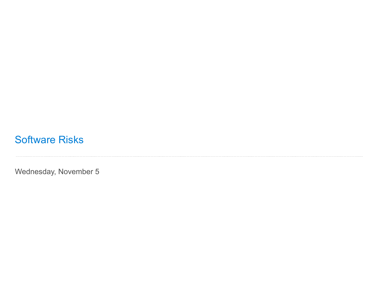# Software Risks

Wednesday, November 5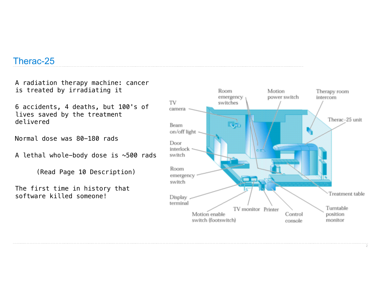### Therac-25

A radiation therapy machine: cancer is treated by irradiating it

6 accidents, 4 deaths, but 100's of lives saved by the treatment delivered

Normal dose was 80-180 rads

A lethal whole-body dose is ~500 rads

(Read Page 10 Description)

The first time in history that software killed someone!



2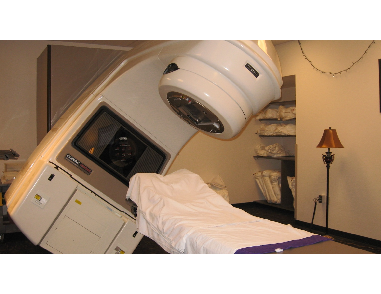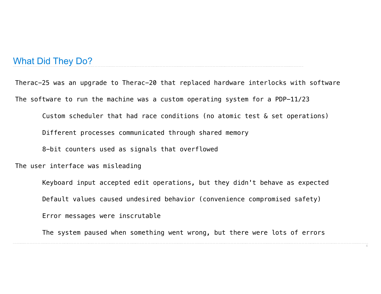#### What Did They Do?

Therac-25 was an upgrade to Therac-20 that replaced hardware interlocks with software The software to run the machine was a custom operating system for a PDP-11/23

Custom scheduler that had race conditions (no atomic test & set operations)

Different processes communicated through shared memory

8-bit counters used as signals that overflowed

The user interface was misleading

 Keyboard input accepted edit operations, but they didn't behave as expected Default values caused undesired behavior (convenience compromised safety) Error messages were inscrutable

The system paused when something went wrong, but there were lots of errors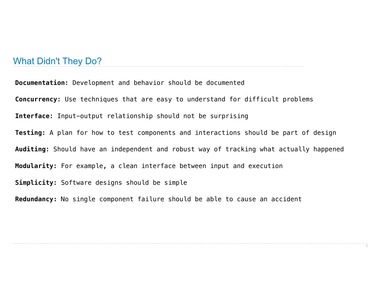# What Didn't They Do?

**Documentation**: Development and behavior should be documented **Concurrency**: Use techniques that are easy to understand for difficult problems **Interface**: Input-output relationship should not be surprising **Testing**: A plan for how to test components and interactions should be part of design **Auditing**: Should have an independent and robust way of tracking what actually happened **Modularity**: For example, a clean interface between input and execution **Simplicity**: Software designs should be simple **Redundancy:** No single component failure should be able to cause an accident